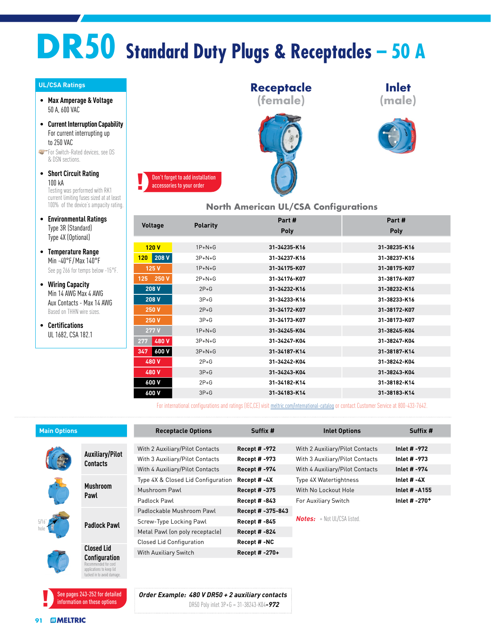## **DR50 Standard Duty Plugs & Receptacles – 50 A**

#### **UL/CSA Ratings**

- **Max Amperage & Voltage** 50 A, 600 VAC
- **Current Interruption Capability** For current interrupting up to 250 VAC

**For Switch-Rated devices, see DS** & DSN sections.

- **Short Circuit Rating** 100 kA Testing was performed with RK1 current limiting fuses sized at at least 100% of the device's ampacity rating.
- **Environmental Ratings** Type 3R (Standard) Type 4X (Optional)
- **Temperature Range** Min -40°F /Max 140°F See pg 266 for temps below -15°F.
- **Wiring Capacity** Min 14 AWG Max 4 AWG Aux Contacts - Max 14 AWG Based on THHN wire sizes.
- **Certifications** UL 1682, CSA 182.1



#### **North American UL/CSA Configurations**

|                           |                 | Part #       | Part#        |
|---------------------------|-----------------|--------------|--------------|
| <b>Voltage</b>            | <b>Polarity</b> | <b>Poly</b>  | Poly         |
|                           |                 |              |              |
| 120V                      | $1P+N+G$        | 31-34235-K16 | 31-38235-K16 |
| 208 V<br>120 <sub>1</sub> | $3P + N + G$    | 31-34237-K16 | 31-38237-K16 |
| 125 V                     | $1P+N+G$        | 31-34175-K07 | 31-38175-K07 |
| 125 250 V                 | $2P + N + G$    | 31-34176-K07 | 31-38176-K07 |
| 208 V                     | $2P+G$          | 31-34232-K16 | 31-38232-K16 |
| 208 V                     | $3P+G$          | 31-34233-K16 | 31-38233-K16 |
| 250 V                     | $2P+G$          | 31-34172-K07 | 31-38172-K07 |
| 250 V                     | $3P+G$          | 31-34173-K07 | 31-38173-K07 |
| 277 V                     | $1P + N + G$    | 31-34245-K04 | 31-38245-K04 |
| 480 V<br>277              | $3P+N+G$        | 31-34247-K04 | 31-38247-K04 |
| 600 V<br>347              | $3P+N+G$        | 31-34187-K14 | 31-38187-K14 |
| 480 V                     | $2P+G$          | 31-34242-K04 | 31-38242-K04 |
| 480 V                     | $3P+G$          | 31-34243-K04 | 31-38243-K04 |
| 600 V                     | $2P+G$          | 31-34182-K14 | 31-38182-K14 |
| 600 V                     | $3P+G$          | 31-34183-K14 | 31-38183-K14 |
|                           |                 |              |              |

For international configurations and ratings (IEC,CE) visit [meltric.com/international-catalog](https://meltric.com/media/contentmanager/content/MARECHAL_Full_Catalogue_EN_1.pdf) or contact Customer Service at 800-433-7642.

| <b>Main Options</b> |                                                            | <b>Receptacle Options</b>          | Suffix #             | <b>Inlet Options</b>               | Suffix #                  |
|---------------------|------------------------------------------------------------|------------------------------------|----------------------|------------------------------------|---------------------------|
|                     |                                                            |                                    |                      |                                    |                           |
|                     |                                                            | With 2 Auxiliary/Pilot Contacts    | Recept # -972        | With 2 Auxiliary/Pilot Contacts    | Inlet # -972              |
|                     | <b>Auxiliary/Pilot</b><br>Contacts                         | With 3 Auxiliary/Pilot Contacts    | Recept # -973        | With 3 Auxiliary/Pilot Contacts    | Inlet # -973              |
|                     |                                                            | With 4 Auxiliary/Pilot Contacts    | Recept # -974        | With 4 Auxiliary/Pilot Contacts    | Inlet # -974              |
|                     | <b>Mushroom</b><br>Pawl                                    | Type 4X & Closed Lid Configuration | Recept # -4X         | Type 4X Watertightness             | Inlet $# -4X$             |
|                     |                                                            | Mushroom Pawl                      | Recept # -375        | With No Lockout Hole               | <b>Inlet # -A155</b>      |
|                     |                                                            | Padlock Pawl                       | Recept # -843        | For Auxiliary Switch               | Inlet # -270 <sup>+</sup> |
|                     |                                                            | Padlockable Mushroom Pawl          | Recept # -375-843    |                                    |                           |
|                     | <b>Padlock Pawl</b>                                        | Screw-Type Locking Pawl            | Recept # -845        | <b>Notes:</b> + Not UL/CSA listed. |                           |
|                     |                                                            | Metal Pawl (on poly receptacle)    | <b>Recept # -824</b> |                                    |                           |
|                     |                                                            | <b>Closed Lid Configuration</b>    | Recept #-NC          |                                    |                           |
|                     | <b>Closed Lid</b><br>Configuration<br>Recommended for cord | With Auxiliary Switch              | Recept # -270+       |                                    |                           |
|                     |                                                            |                                    |                      |                                    |                           |
|                     | applications to keep lid<br>tucked in to avoid damage.     |                                    |                      |                                    |                           |

*Order Example: 480 V DR50 + 2 auxiliary contacts* DR50 Poly inlet 3P+G = 31-38243-K04*-972*

See pages 243-252 for detailed information on these options